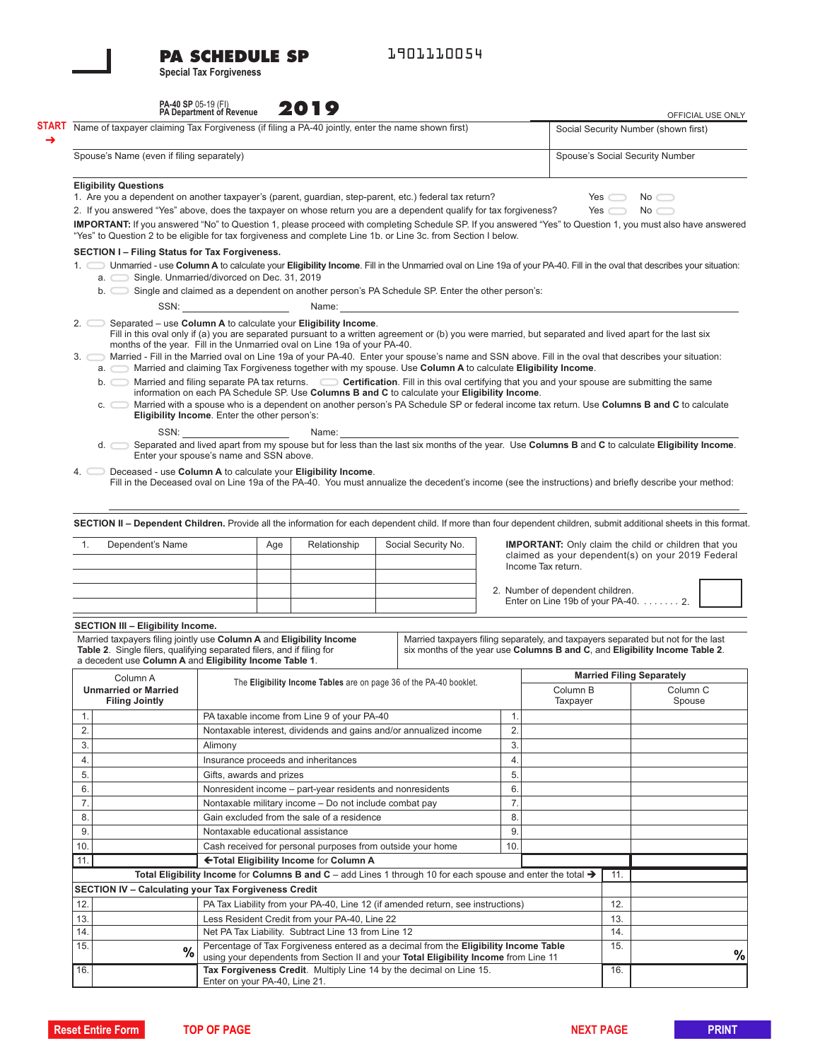# **PA SCHEDULE SP**

**Special Tax Forgiveness** 

1901110054

| PA-40 SP 05-19 (FI)<br>PA Department of Revenue | 2019 |
|-------------------------------------------------|------|
|                                                 |      |

|                                                                                                                                                                                                                                                                                    | <b>PA Department of Revenue</b>                                                                                                                                                                                                                                                                                                                                                                                                                                                                               |                                                                                                                                                                              | ZU I 7                                                                                                                                                                              |                                                                         |                     |  |     |                                                                                                                                                                                                                                |                                                        | OFFICIAL USE ONLY                                                                                                                                                                                                                                                                                                                                                                                                                                       |  |  |
|------------------------------------------------------------------------------------------------------------------------------------------------------------------------------------------------------------------------------------------------------------------------------------|---------------------------------------------------------------------------------------------------------------------------------------------------------------------------------------------------------------------------------------------------------------------------------------------------------------------------------------------------------------------------------------------------------------------------------------------------------------------------------------------------------------|------------------------------------------------------------------------------------------------------------------------------------------------------------------------------|-------------------------------------------------------------------------------------------------------------------------------------------------------------------------------------|-------------------------------------------------------------------------|---------------------|--|-----|--------------------------------------------------------------------------------------------------------------------------------------------------------------------------------------------------------------------------------|--------------------------------------------------------|---------------------------------------------------------------------------------------------------------------------------------------------------------------------------------------------------------------------------------------------------------------------------------------------------------------------------------------------------------------------------------------------------------------------------------------------------------|--|--|
| <b>START</b> Name of taxpayer claiming Tax Forgiveness (if filing a PA-40 jointly, enter the name shown first)                                                                                                                                                                     |                                                                                                                                                                                                                                                                                                                                                                                                                                                                                                               |                                                                                                                                                                              |                                                                                                                                                                                     |                                                                         |                     |  |     |                                                                                                                                                                                                                                |                                                        | Social Security Number (shown first)                                                                                                                                                                                                                                                                                                                                                                                                                    |  |  |
|                                                                                                                                                                                                                                                                                    | Spouse's Name (even if filing separately)                                                                                                                                                                                                                                                                                                                                                                                                                                                                     |                                                                                                                                                                              |                                                                                                                                                                                     |                                                                         |                     |  |     | Spouse's Social Security Number                                                                                                                                                                                                |                                                        |                                                                                                                                                                                                                                                                                                                                                                                                                                                         |  |  |
| <b>Eligibility Questions</b>                                                                                                                                                                                                                                                       | 1. Are you a dependent on another taxpayer's (parent, guardian, step-parent, etc.) federal tax return?<br>2. If you answered "Yes" above, does the taxpayer on whose return you are a dependent qualify for tax forgiveness?<br>IMPORTANT: If you answered "No" to Question 1, please proceed with completing Schedule SP. If you answered "Yes" to Question 1, you must also have answered<br>"Yes" to Question 2 to be eligible for tax forgiveness and complete Line 1b. or Line 3c. from Section I below. |                                                                                                                                                                              |                                                                                                                                                                                     |                                                                         |                     |  |     |                                                                                                                                                                                                                                | Yes $\Box$<br>$No \frown$<br>Yes $\Box$<br>$No \frown$ |                                                                                                                                                                                                                                                                                                                                                                                                                                                         |  |  |
| SECTION I - Filing Status for Tax Forgiveness.                                                                                                                                                                                                                                     |                                                                                                                                                                                                                                                                                                                                                                                                                                                                                                               |                                                                                                                                                                              |                                                                                                                                                                                     |                                                                         |                     |  |     |                                                                                                                                                                                                                                |                                                        |                                                                                                                                                                                                                                                                                                                                                                                                                                                         |  |  |
| 1. Unmarried - use Column A to calculate your Eligibility Income. Fill in the Unmarried oval on Line 19a of your PA-40. Fill in the oval that describes your situation:                                                                                                            |                                                                                                                                                                                                                                                                                                                                                                                                                                                                                                               |                                                                                                                                                                              |                                                                                                                                                                                     |                                                                         |                     |  |     |                                                                                                                                                                                                                                |                                                        |                                                                                                                                                                                                                                                                                                                                                                                                                                                         |  |  |
| a. Single. Unmarried/divorced on Dec. 31, 2019<br>b. Single and claimed as a dependent on another person's PA Schedule SP. Enter the other person's:                                                                                                                               |                                                                                                                                                                                                                                                                                                                                                                                                                                                                                                               |                                                                                                                                                                              |                                                                                                                                                                                     |                                                                         |                     |  |     |                                                                                                                                                                                                                                |                                                        |                                                                                                                                                                                                                                                                                                                                                                                                                                                         |  |  |
|                                                                                                                                                                                                                                                                                    | SSN: the contract of the contract of the contract of the contract of the contract of the contract of the contract of the contract of the contract of the contract of the contract of the contract of the contract of the contr                                                                                                                                                                                                                                                                                |                                                                                                                                                                              |                                                                                                                                                                                     |                                                                         |                     |  |     | Name: when the contract of the contract of the contract of the contract of the contract of the contract of the contract of the contract of the contract of the contract of the contract of the contract of the contract of the |                                                        |                                                                                                                                                                                                                                                                                                                                                                                                                                                         |  |  |
| 3. Married - Fill in the Married oval on Line 19a of your PA-40. Enter your spouse's name and SSN above. Fill in the oval that describes your situation:<br>a. Married and claiming Tax Forgiveness together with my spouse. Use Column A to calculate Eligibility Income.<br>SSN: | Eligibility Income. Enter the other person's:                                                                                                                                                                                                                                                                                                                                                                                                                                                                 |                                                                                                                                                                              | months of the year. Fill in the Unmarried oval on Line 19a of your PA-40.<br>information on each PA Schedule SP. Use Columns B and C to calculate your Eligibility Income.<br>Name: |                                                                         |                     |  |     |                                                                                                                                                                                                                                |                                                        | Fill in this oval only if (a) you are separated pursuant to a written agreement or (b) you were married, but separated and lived apart for the last six<br>b. Married and filing separate PA tax returns. Cortification. Fill in this oval certifying that you and your spouse are submitting the same<br>c. Married with a spouse who is a dependent on another person's PA Schedule SP or federal income tax return. Use Columns B and C to calculate |  |  |
|                                                                                                                                                                                                                                                                                    |                                                                                                                                                                                                                                                                                                                                                                                                                                                                                                               |                                                                                                                                                                              |                                                                                                                                                                                     |                                                                         |                     |  |     |                                                                                                                                                                                                                                |                                                        | d. Separated and lived apart from my spouse but for less than the last six months of the year. Use Columns B and C to calculate Eligibility Income.                                                                                                                                                                                                                                                                                                     |  |  |
|                                                                                                                                                                                                                                                                                    | Enter your spouse's name and SSN above.                                                                                                                                                                                                                                                                                                                                                                                                                                                                       |                                                                                                                                                                              |                                                                                                                                                                                     |                                                                         |                     |  |     |                                                                                                                                                                                                                                |                                                        |                                                                                                                                                                                                                                                                                                                                                                                                                                                         |  |  |
| 4. Deceased - use Column A to calculate your Eligibility Income.                                                                                                                                                                                                                   |                                                                                                                                                                                                                                                                                                                                                                                                                                                                                                               |                                                                                                                                                                              |                                                                                                                                                                                     |                                                                         |                     |  |     |                                                                                                                                                                                                                                |                                                        | Fill in the Deceased oval on Line 19a of the PA-40. You must annualize the decedent's income (see the instructions) and briefly describe your method:                                                                                                                                                                                                                                                                                                   |  |  |
|                                                                                                                                                                                                                                                                                    |                                                                                                                                                                                                                                                                                                                                                                                                                                                                                                               |                                                                                                                                                                              |                                                                                                                                                                                     |                                                                         |                     |  |     |                                                                                                                                                                                                                                |                                                        |                                                                                                                                                                                                                                                                                                                                                                                                                                                         |  |  |
|                                                                                                                                                                                                                                                                                    |                                                                                                                                                                                                                                                                                                                                                                                                                                                                                                               |                                                                                                                                                                              |                                                                                                                                                                                     |                                                                         |                     |  |     |                                                                                                                                                                                                                                |                                                        |                                                                                                                                                                                                                                                                                                                                                                                                                                                         |  |  |
| SECTION II - Dependent Children. Provide all the information for each dependent child. If more than four dependent children, submit additional sheets in this format.                                                                                                              |                                                                                                                                                                                                                                                                                                                                                                                                                                                                                                               |                                                                                                                                                                              |                                                                                                                                                                                     |                                                                         |                     |  |     |                                                                                                                                                                                                                                |                                                        |                                                                                                                                                                                                                                                                                                                                                                                                                                                         |  |  |
| Dependent's Name<br>1.                                                                                                                                                                                                                                                             |                                                                                                                                                                                                                                                                                                                                                                                                                                                                                                               | Age                                                                                                                                                                          | Relationship                                                                                                                                                                        |                                                                         | Social Security No. |  |     |                                                                                                                                                                                                                                |                                                        | <b>IMPORTANT:</b> Only claim the child or children that you                                                                                                                                                                                                                                                                                                                                                                                             |  |  |
|                                                                                                                                                                                                                                                                                    |                                                                                                                                                                                                                                                                                                                                                                                                                                                                                                               |                                                                                                                                                                              |                                                                                                                                                                                     |                                                                         |                     |  |     |                                                                                                                                                                                                                                |                                                        | claimed as your dependent(s) on your 2019 Federal                                                                                                                                                                                                                                                                                                                                                                                                       |  |  |
|                                                                                                                                                                                                                                                                                    |                                                                                                                                                                                                                                                                                                                                                                                                                                                                                                               |                                                                                                                                                                              |                                                                                                                                                                                     |                                                                         |                     |  |     | Income Tax return.                                                                                                                                                                                                             |                                                        |                                                                                                                                                                                                                                                                                                                                                                                                                                                         |  |  |
|                                                                                                                                                                                                                                                                                    |                                                                                                                                                                                                                                                                                                                                                                                                                                                                                                               |                                                                                                                                                                              |                                                                                                                                                                                     |                                                                         |                     |  |     | 2. Number of dependent children.                                                                                                                                                                                               |                                                        |                                                                                                                                                                                                                                                                                                                                                                                                                                                         |  |  |
|                                                                                                                                                                                                                                                                                    |                                                                                                                                                                                                                                                                                                                                                                                                                                                                                                               |                                                                                                                                                                              |                                                                                                                                                                                     |                                                                         |                     |  |     | Enter on Line 19b of your PA-40. 2.                                                                                                                                                                                            |                                                        |                                                                                                                                                                                                                                                                                                                                                                                                                                                         |  |  |
|                                                                                                                                                                                                                                                                                    |                                                                                                                                                                                                                                                                                                                                                                                                                                                                                                               |                                                                                                                                                                              |                                                                                                                                                                                     |                                                                         |                     |  |     |                                                                                                                                                                                                                                |                                                        |                                                                                                                                                                                                                                                                                                                                                                                                                                                         |  |  |
| <b>SECTION III - Eligibility Income.</b>                                                                                                                                                                                                                                           |                                                                                                                                                                                                                                                                                                                                                                                                                                                                                                               |                                                                                                                                                                              |                                                                                                                                                                                     |                                                                         |                     |  |     |                                                                                                                                                                                                                                |                                                        |                                                                                                                                                                                                                                                                                                                                                                                                                                                         |  |  |
| Married taxpayers filing jointly use Column A and Eligibility Income<br>Table 2. Single filers, qualifying separated filers, and if filing for<br>a decedent use Column A and Eligibility Income Table 1.                                                                          |                                                                                                                                                                                                                                                                                                                                                                                                                                                                                                               |                                                                                                                                                                              |                                                                                                                                                                                     |                                                                         |                     |  |     |                                                                                                                                                                                                                                |                                                        | Married taxpayers filing separately, and taxpayers separated but not for the last<br>six months of the year use Columns B and C, and Eligibility Income Table 2.                                                                                                                                                                                                                                                                                        |  |  |
| Column A                                                                                                                                                                                                                                                                           |                                                                                                                                                                                                                                                                                                                                                                                                                                                                                                               |                                                                                                                                                                              | The Eligibility Income Tables are on page 36 of the PA-40 booklet.                                                                                                                  |                                                                         |                     |  |     |                                                                                                                                                                                                                                | <b>Married Filing Separately</b>                       |                                                                                                                                                                                                                                                                                                                                                                                                                                                         |  |  |
| <b>Unmarried or Married</b>                                                                                                                                                                                                                                                        |                                                                                                                                                                                                                                                                                                                                                                                                                                                                                                               |                                                                                                                                                                              |                                                                                                                                                                                     |                                                                         |                     |  |     | Column B                                                                                                                                                                                                                       |                                                        | Column <sub>C</sub>                                                                                                                                                                                                                                                                                                                                                                                                                                     |  |  |
| <b>Filing Jointly</b>                                                                                                                                                                                                                                                              |                                                                                                                                                                                                                                                                                                                                                                                                                                                                                                               |                                                                                                                                                                              |                                                                                                                                                                                     |                                                                         |                     |  |     | Taxpayer                                                                                                                                                                                                                       |                                                        | Spouse                                                                                                                                                                                                                                                                                                                                                                                                                                                  |  |  |
| 1.                                                                                                                                                                                                                                                                                 |                                                                                                                                                                                                                                                                                                                                                                                                                                                                                                               |                                                                                                                                                                              | PA taxable income from Line 9 of your PA-40                                                                                                                                         |                                                                         |                     |  | 1.  |                                                                                                                                                                                                                                |                                                        |                                                                                                                                                                                                                                                                                                                                                                                                                                                         |  |  |
| $\overline{2}$                                                                                                                                                                                                                                                                     |                                                                                                                                                                                                                                                                                                                                                                                                                                                                                                               |                                                                                                                                                                              |                                                                                                                                                                                     | 2.<br>Nontaxable interest, dividends and gains and/or annualized income |                     |  |     |                                                                                                                                                                                                                                |                                                        |                                                                                                                                                                                                                                                                                                                                                                                                                                                         |  |  |
| 3.                                                                                                                                                                                                                                                                                 | Alimony                                                                                                                                                                                                                                                                                                                                                                                                                                                                                                       | 3.                                                                                                                                                                           |                                                                                                                                                                                     |                                                                         |                     |  |     |                                                                                                                                                                                                                                |                                                        |                                                                                                                                                                                                                                                                                                                                                                                                                                                         |  |  |
| 4.                                                                                                                                                                                                                                                                                 |                                                                                                                                                                                                                                                                                                                                                                                                                                                                                                               | 4.<br>Insurance proceeds and inheritances                                                                                                                                    |                                                                                                                                                                                     |                                                                         |                     |  |     |                                                                                                                                                                                                                                |                                                        |                                                                                                                                                                                                                                                                                                                                                                                                                                                         |  |  |
| 5.                                                                                                                                                                                                                                                                                 |                                                                                                                                                                                                                                                                                                                                                                                                                                                                                                               | 5.<br>Gifts, awards and prizes                                                                                                                                               |                                                                                                                                                                                     |                                                                         |                     |  |     |                                                                                                                                                                                                                                |                                                        |                                                                                                                                                                                                                                                                                                                                                                                                                                                         |  |  |
| 6.                                                                                                                                                                                                                                                                                 |                                                                                                                                                                                                                                                                                                                                                                                                                                                                                                               | 6.<br>Nonresident income - part-year residents and nonresidents                                                                                                              |                                                                                                                                                                                     |                                                                         |                     |  |     |                                                                                                                                                                                                                                |                                                        |                                                                                                                                                                                                                                                                                                                                                                                                                                                         |  |  |
| 7.                                                                                                                                                                                                                                                                                 |                                                                                                                                                                                                                                                                                                                                                                                                                                                                                                               | 7.<br>Nontaxable military income - Do not include combat pay<br>Gain excluded from the sale of a residence<br>8.                                                             |                                                                                                                                                                                     |                                                                         |                     |  |     |                                                                                                                                                                                                                                |                                                        |                                                                                                                                                                                                                                                                                                                                                                                                                                                         |  |  |
| 8.                                                                                                                                                                                                                                                                                 |                                                                                                                                                                                                                                                                                                                                                                                                                                                                                                               | 9.                                                                                                                                                                           |                                                                                                                                                                                     |                                                                         |                     |  |     |                                                                                                                                                                                                                                |                                                        |                                                                                                                                                                                                                                                                                                                                                                                                                                                         |  |  |
| 9.                                                                                                                                                                                                                                                                                 |                                                                                                                                                                                                                                                                                                                                                                                                                                                                                                               | Nontaxable educational assistance<br>Cash received for personal purposes from outside your home                                                                              |                                                                                                                                                                                     |                                                                         |                     |  |     |                                                                                                                                                                                                                                |                                                        |                                                                                                                                                                                                                                                                                                                                                                                                                                                         |  |  |
| 10.                                                                                                                                                                                                                                                                                |                                                                                                                                                                                                                                                                                                                                                                                                                                                                                                               |                                                                                                                                                                              |                                                                                                                                                                                     |                                                                         |                     |  | 10. |                                                                                                                                                                                                                                |                                                        |                                                                                                                                                                                                                                                                                                                                                                                                                                                         |  |  |
| 11.                                                                                                                                                                                                                                                                                |                                                                                                                                                                                                                                                                                                                                                                                                                                                                                                               |                                                                                                                                                                              | ←Total Eligibility Income for Column A                                                                                                                                              |                                                                         |                     |  |     |                                                                                                                                                                                                                                |                                                        |                                                                                                                                                                                                                                                                                                                                                                                                                                                         |  |  |
|                                                                                                                                                                                                                                                                                    |                                                                                                                                                                                                                                                                                                                                                                                                                                                                                                               |                                                                                                                                                                              | Total Eligibility Income for Columns B and C - add Lines 1 through 10 for each spouse and enter the total $\rightarrow$                                                             |                                                                         |                     |  |     |                                                                                                                                                                                                                                | 11.                                                    |                                                                                                                                                                                                                                                                                                                                                                                                                                                         |  |  |
| <b>SECTION IV - Calculating your Tax Forgiveness Credit</b>                                                                                                                                                                                                                        |                                                                                                                                                                                                                                                                                                                                                                                                                                                                                                               |                                                                                                                                                                              |                                                                                                                                                                                     |                                                                         |                     |  |     |                                                                                                                                                                                                                                |                                                        |                                                                                                                                                                                                                                                                                                                                                                                                                                                         |  |  |
| 12.                                                                                                                                                                                                                                                                                |                                                                                                                                                                                                                                                                                                                                                                                                                                                                                                               |                                                                                                                                                                              | PA Tax Liability from your PA-40, Line 12 (if amended return, see instructions)                                                                                                     |                                                                         |                     |  |     |                                                                                                                                                                                                                                | 12.                                                    |                                                                                                                                                                                                                                                                                                                                                                                                                                                         |  |  |
| 13.                                                                                                                                                                                                                                                                                |                                                                                                                                                                                                                                                                                                                                                                                                                                                                                                               |                                                                                                                                                                              | Less Resident Credit from your PA-40, Line 22                                                                                                                                       |                                                                         |                     |  |     |                                                                                                                                                                                                                                | 13.                                                    |                                                                                                                                                                                                                                                                                                                                                                                                                                                         |  |  |
| 14.<br>15.                                                                                                                                                                                                                                                                         |                                                                                                                                                                                                                                                                                                                                                                                                                                                                                                               | Net PA Tax Liability. Subtract Line 13 from Line 12                                                                                                                          |                                                                                                                                                                                     |                                                                         |                     |  |     | 14.<br>15.                                                                                                                                                                                                                     |                                                        |                                                                                                                                                                                                                                                                                                                                                                                                                                                         |  |  |
|                                                                                                                                                                                                                                                                                    | %                                                                                                                                                                                                                                                                                                                                                                                                                                                                                                             | Percentage of Tax Forgiveness entered as a decimal from the Eligibility Income Table<br>using your dependents from Section II and your Total Eligibility Income from Line 11 |                                                                                                                                                                                     |                                                                         |                     |  |     |                                                                                                                                                                                                                                |                                                        |                                                                                                                                                                                                                                                                                                                                                                                                                                                         |  |  |
| 16.                                                                                                                                                                                                                                                                                |                                                                                                                                                                                                                                                                                                                                                                                                                                                                                                               |                                                                                                                                                                              |                                                                                                                                                                                     |                                                                         |                     |  |     |                                                                                                                                                                                                                                | 16.                                                    |                                                                                                                                                                                                                                                                                                                                                                                                                                                         |  |  |
|                                                                                                                                                                                                                                                                                    |                                                                                                                                                                                                                                                                                                                                                                                                                                                                                                               | Tax Forgiveness Credit. Multiply Line 14 by the decimal on Line 15.<br>Enter on your PA-40, Line 21.                                                                         |                                                                                                                                                                                     |                                                                         |                     |  |     |                                                                                                                                                                                                                                |                                                        |                                                                                                                                                                                                                                                                                                                                                                                                                                                         |  |  |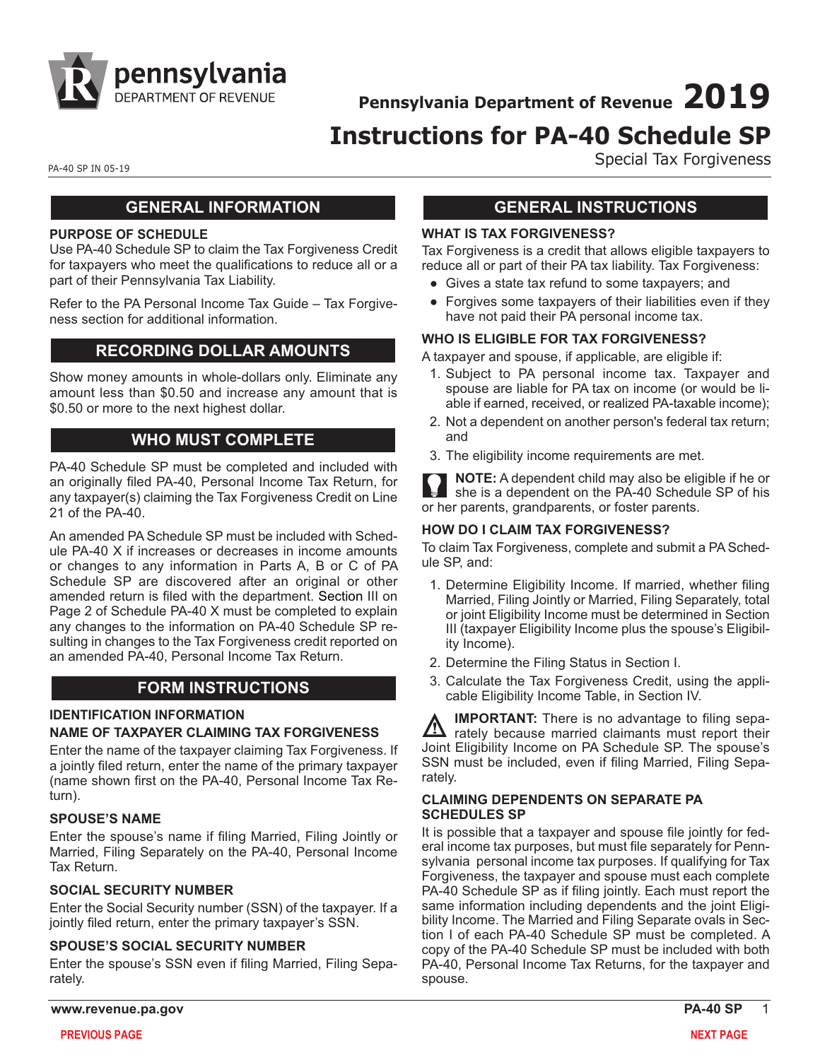

**Pennsylvania Department of Revenue 2019**

# **Instructions for PA-40 Schedule SP**

PA-40 SP IN 05-19

# **GENERAL INFORMATION**

#### **PURPOSE OF SCHEDULE**

Use PA-40 Schedule SP to claim the Tax Forgiveness Credit for taxpayers who meet the qualifications to reduce all or a part of their Pennsylvania Tax Liability.

[Refer to the PA Personal Income Tax Guide – Tax Forgive](https://www.revenue.pa.gov/FormsandPublications/PAPersonalIncomeTaxGuide/Pages/Tax-Forgiveness.aspx)[ness section for additional information.](https://www.revenue.pa.gov/FormsandPublications/PAPersonalIncomeTaxGuide/Pages/Tax-Forgiveness.aspx)

### **RECORDING DOLLAR AMOUNTS**

Show money amounts in whole-dollars only. Eliminate any amount less than \$0.50 and increase any amount that is \$0.50 or more to the next highest dollar.

### **WHO MUST COMPLETE**

PA-40 Schedule SP must be completed and included with an originally filed PA-40, Personal Income Tax Return, for any taxpayer(s) claiming the Tax Forgiveness Credit on Line 21 of the PA-40.

An amended PA Schedule SP must be included with Schedule PA-40 X if increases or decreases in income amounts or changes to any information in Parts A, B or C of PA Schedule SP are discovered after an original or other amended return is filed with the department. Section III on Page 2 of Schedule PA-40 X must be completed to explain any changes to the information on PA-40 Schedule SP resulting in changes to the Tax Forgiveness credit reported on an amended PA-40, Personal Income Tax Return.

# **FORM INSTRUCTIONS**

#### **IDENTIFICATION INFORMATION**

#### **NAME OF TAXPAYER CLAIMING TAX FORGIVENESS**

Enter the name of the taxpayer claiming Tax Forgiveness. If a jointly filed return, enter the name of the primary taxpayer (name shown first on the PA-40, Personal Income Tax Return).

#### **SPOUSE'S NAME**

Enter the spouse's name if filing Married, Filing Jointly or Married, Filing Separately on the PA-40, Personal Income Tax Return.

#### **SOCIAL SECURITY NUMBER**

Enter the Social Security number (SSN) of the taxpayer. If a jointly filed return, enter the primary taxpayer's SSN.

#### **SPOUSE'S SOCIAL SECURITY NUMBER**

Enter the spouse's SSN even if filing Married, Filing Separately.

## **GENERAL INSTRUCTIONS**

Special Tax Forgiveness

#### **WHAT IS TAX FORGIVENESS?**

Tax Forgiveness is a credit that allows eligible taxpayers to reduce all or part of their PA tax liability. Tax Forgiveness:

- Gives a state tax refund to some taxpayers; and
- Forgives some taxpayers of their liabilities even if they have not paid their PA personal income tax.

#### **WHO IS ELIGIBLE FOR TAX FORGIVENESS?**

A taxpayer and spouse, if applicable, are eligible if:

- 1. Subject to PA personal income tax. Taxpayer and spouse are liable for PA tax on income (or would be liable if earned, received, or realized PA-taxable income);
- 2. Not a dependent on another person's federal tax return; and
- 3. The eligibility income requirements are met.

**NOTE:** A dependent child may also be eligible if he or she is a dependent on the PA-40 Schedule SP of his or her parents, grandparents, or foster parents.

#### **HOW DO I CLAIM TAX FORGIVENESS?**

To claim Tax Forgiveness, complete and submit a PA Schedule SP, and:

- 1. Determine Eligibility Income. If married, whether filing Married, Filing Jointly or Married, Filing Separately, total or joint Eligibility Income must be determined in Section III (taxpayer Eligibility Income plus the spouse's Eligibility Income).
- 2. Determine the Filing Status in Section I.
- 3. Calculate the Tax Forgiveness Credit, using the applicable Eligibility Income Table, in Section IV.

**IMPORTANT:** There is no advantage to filing sepa- $\Delta$  rately because married claimants must report their Joint Eligibility Income on PA Schedule SP. The spouse's SSN must be included, even if filing Married, Filing Separately.

#### **CLAIMING DEPENDENTS ON SEPARATE PA SCHEDULES SP**

It is possible that a taxpayer and spouse file jointly for federal income tax purposes, but must file separately for Pennsylvania personal income tax purposes. If qualifying for Tax Forgiveness, the taxpayer and spouse must each complete PA-40 Schedule SP as if filing jointly. Each must report the same information including dependents and the joint Eligibility Income. The Married and Filing Separate ovals in Section I of each PA-40 Schedule SP must be completed. A copy of the PA-40 Schedule SP must be included with both PA-40, Personal Income Tax Returns, for the taxpayer and spouse.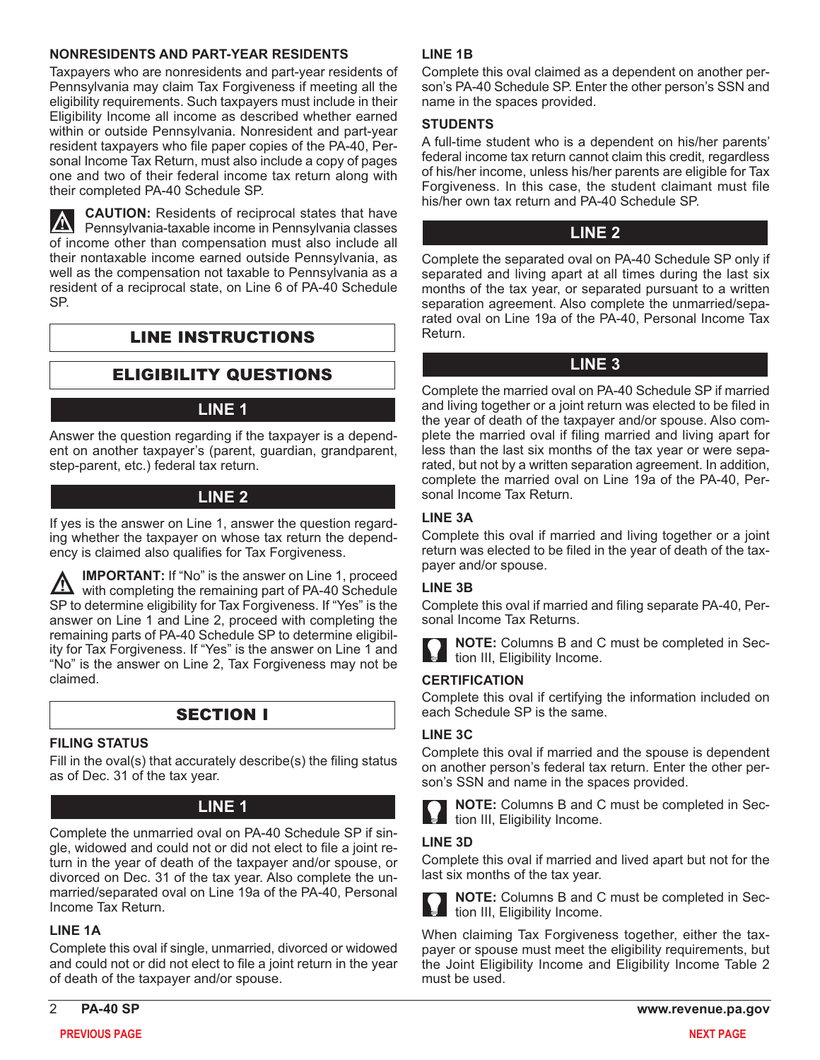### **NONRESIDENTS AND PART-YEAR RESIDENTS**

Taxpayers who are nonresidents and part-year residents of Pennsylvania may claim Tax Forgiveness if meeting all the eligibility requirements. Such taxpayers must include in their Eligibility Income all income as described whether earned within or outside Pennsylvania. Nonresident and part-year resident taxpayers who file paper copies of the PA-40, Personal Income Tax Return, must also include a copy of pages one and two of their federal income tax return along with their completed PA-40 Schedule SP.

**CAUTION:** Residents of reciprocal states that have Pennsylvania-taxable income in Pennsylvania classes of income other than compensation must also include all their nontaxable income earned outside Pennsylvania, as well as the compensation not taxable to Pennsylvania as a resident of a reciprocal state, on Line 6 of PA-40 Schedule SP.

# LINE INSTRUCTIONS

# ELIGIBILITY QUESTIONS

### **LINE 1**

Answer the question regarding if the taxpayer is a dependent on another taxpayer's (parent, guardian, grandparent, step-parent, etc.) federal tax return.

# **LINE 2**

If yes is the answer on Line 1, answer the question regarding whether the taxpayer on whose tax return the dependency is claimed also qualifies for Tax Forgiveness.

**IMPORTANT:** If "No" is the answer on Line 1, proceed <u>/\</u> with completing the remaining part of PA-40 Schedule SP to determine eligibility for Tax Forgiveness. If "Yes" is the answer on Line 1 and Line 2, proceed with completing the remaining parts of PA-40 Schedule SP to determine eligibility for Tax Forgiveness. If "Yes" is the answer on Line 1 and "No" is the answer on Line 2, Tax Forgiveness may not be claimed.

# SECTION I

#### **FILING STATUS**

Fill in the oval(s) that accurately describe(s) the filing status as of Dec. 31 of the tax year.

# **LINE 1**

Complete the unmarried oval on PA-40 Schedule SP if single, widowed and could not or did not elect to file a joint return in the year of death of the taxpayer and/or spouse, or divorced on Dec. 31 of the tax year. Also complete the unmarried/separated oval on Line 19a of the PA-40, Personal Income Tax Return.

#### **LINE 1A**

Complete this oval if single, unmarried, divorced or widowed and could not or did not elect to file a joint return in the year of death of the taxpayer and/or spouse.

### **LINE 1B**

Complete this oval claimed as a dependent on another person's PA-40 Schedule SP. Enter the other person's SSN and name in the spaces provided.

#### **STUDENTS**

A full-time student who is a dependent on his/her parents' federal income tax return cannot claim this credit, regardless of his/her income, unless his/her parents are eligible for Tax Forgiveness. In this case, the student claimant must file his/her own tax return and PA-40 Schedule SP.

### **LINE 2**

Complete the separated oval on PA-40 Schedule SP only if separated and living apart at all times during the last six months of the tax year, or separated pursuant to a written separation agreement. Also complete the unmarried/separated oval on Line 19a of the PA-40, Personal Income Tax Return.

### **LINE 3**

Complete the married oval on PA-40 Schedule SP if married and living together or a joint return was elected to be filed in the year of death of the taxpayer and/or spouse. Also complete the married oval if filing married and living apart for less than the last six months of the tax year or were separated, but not by a written separation agreement. In addition, complete the married oval on Line 19a of the PA-40, Personal Income Tax Return.

#### **LINE 3A**

Complete this oval if married and living together or a joint return was elected to be filed in the year of death of the taxpayer and/or spouse.

#### **LINE 3B**

Complete this oval if married and filing separate PA-40, Personal Income Tax Returns.



**NOTE:** Columns B and C must be completed in Section III, Eligibility Income.

### **CERTIFICATION**

Complete this oval if certifying the information included on each Schedule SP is the same.

#### **LINE 3C**

Complete this oval if married and the spouse is dependent on another person's federal tax return. Enter the other person's SSN and name in the spaces provided.



**NOTE:** Columns B and C must be completed in Section III, Eligibility Income.

#### **LINE 3D**

Complete this oval if married and lived apart but not for the last six months of the tax year.



**NOTE:** Columns B and C must be completed in Sec**tion III, Eligibility Income.** 

When claiming Tax Forgiveness together, either the taxpayer or spouse must meet the eligibility requirements, but the Joint Eligibility Income and Eligibility Income Table 2 must be used.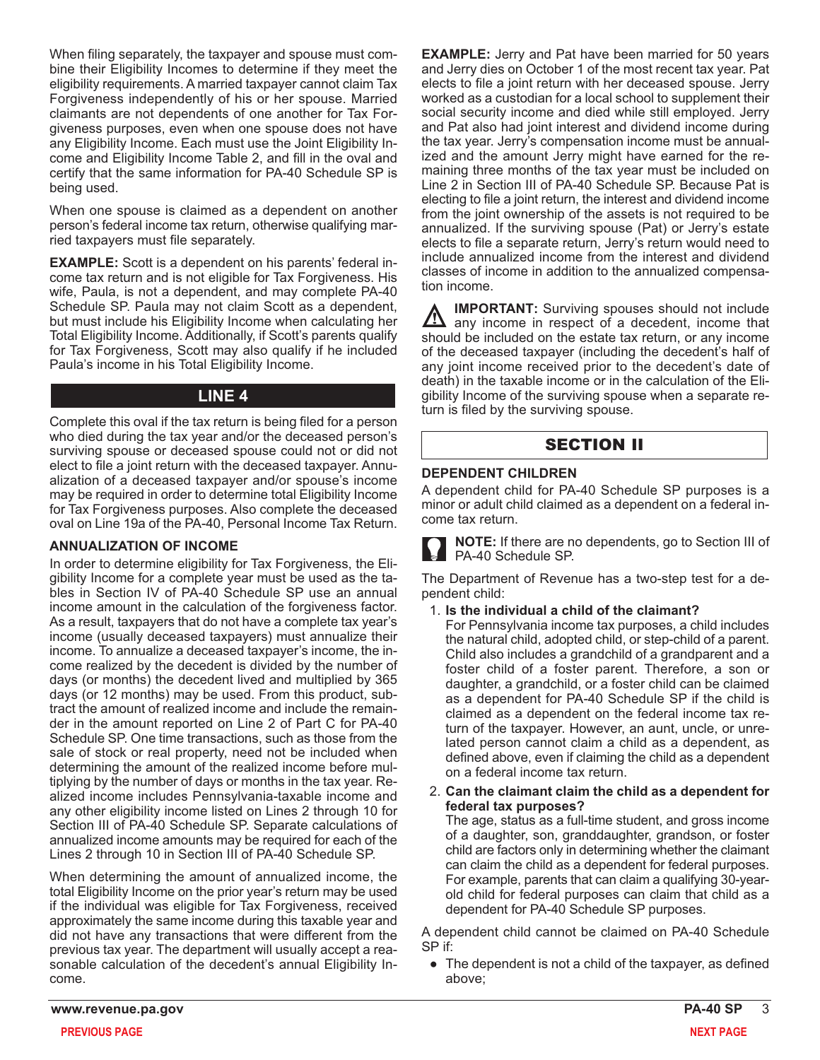When filing separately, the taxpayer and spouse must combine their Eligibility Incomes to determine if they meet the eligibility requirements. A married taxpayer cannot claim Tax Forgiveness independently of his or her spouse. Married claimants are not dependents of one another for Tax Forgiveness purposes, even when one spouse does not have any Eligibility Income. Each must use the Joint Eligibility Income and Eligibility Income Table 2, and fill in the oval and certify that the same information for PA-40 Schedule SP is being used.

When one spouse is claimed as a dependent on another person's federal income tax return, otherwise qualifying married taxpayers must file separately.

**EXAMPLE:** Scott is a dependent on his parents' federal income tax return and is not eligible for Tax Forgiveness. His wife, Paula, is not a dependent, and may complete PA-40 Schedule SP. Paula may not claim Scott as a dependent, but must include his Eligibility Income when calculating her Total Eligibility Income. Additionally, if Scott's parents qualify for Tax Forgiveness, Scott may also qualify if he included Paula's income in his Total Eligibility Income.

# **LINE 4**

Complete this oval if the tax return is being filed for a person who died during the tax year and/or the deceased person's surviving spouse or deceased spouse could not or did not elect to file a joint return with the deceased taxpayer. Annualization of a deceased taxpayer and/or spouse's income may be required in order to determine total Eligibility Income for Tax Forgiveness purposes. Also complete the deceased oval on Line 19a of the PA-40, Personal Income Tax Return.

### **ANNUALIZATION OF INCOME**

In order to determine eligibility for Tax Forgiveness, the Eligibility Income for a complete year must be used as the tables in Section IV of PA-40 Schedule SP use an annual income amount in the calculation of the forgiveness factor. As a result, taxpayers that do not have a complete tax year's income (usually deceased taxpayers) must annualize their income. To annualize a deceased taxpayer's income, the income realized by the decedent is divided by the number of days (or months) the decedent lived and multiplied by 365 days (or 12 months) may be used. From this product, subtract the amount of realized income and include the remainder in the amount reported on Line 2 of Part C for PA-40 Schedule SP. One time transactions, such as those from the sale of stock or real property, need not be included when determining the amount of the realized income before multiplying by the number of days or months in the tax year. Realized income includes Pennsylvania-taxable income and any other eligibility income listed on Lines 2 through 10 for Section III of PA-40 Schedule SP. Separate calculations of annualized income amounts may be required for each of the Lines 2 through 10 in Section III of PA-40 Schedule SP.

When determining the amount of annualized income, the total Eligibility Income on the prior year's return may be used if the individual was eligible for Tax Forgiveness, received approximately the same income during this taxable year and did not have any transactions that were different from the previous tax year. The department will usually accept a reasonable calculation of the decedent's annual Eligibility Income.

**EXAMPLE:** Jerry and Pat have been married for 50 years and Jerry dies on October 1 of the most recent tax year. Pat elects to file a joint return with her deceased spouse. Jerry worked as a custodian for a local school to supplement their social security income and died while still employed. Jerry and Pat also had joint interest and dividend income during the tax year. Jerry's compensation income must be annualized and the amount Jerry might have earned for the remaining three months of the tax year must be included on Line 2 in Section III of PA-40 Schedule SP. Because Pat is electing to file a joint return, the interest and dividend income from the joint ownership of the assets is not required to be annualized. If the surviving spouse (Pat) or Jerry's estate elects to file a separate return, Jerry's return would need to include annualized income from the interest and dividend classes of income in addition to the annualized compensation income.

**IMPORTANT:** Surviving spouses should not include any income in respect of a decedent, income that should be included on the estate tax return, or any income of the deceased taxpayer (including the decedent's half of any joint income received prior to the decedent's date of death) in the taxable income or in the calculation of the Eligibility Income of the surviving spouse when a separate return is filed by the surviving spouse.

# SECTION II

### **DEPENDENT CHILDREN**

A dependent child for PA-40 Schedule SP purposes is a minor or adult child claimed as a dependent on a federal income tax return.

**NOTE:** If there are no dependents, go to Section III of PA-40 Schedule SP.

The Department of Revenue has a two-step test for a dependent child:

- 1. **Is the individual a child of the claimant?**
	- For Pennsylvania income tax purposes, a child includes the natural child, adopted child, or step-child of a parent. Child also includes a grandchild of a grandparent and a foster child of a foster parent. Therefore, a son or daughter, a grandchild, or a foster child can be claimed as a dependent for PA-40 Schedule SP if the child is claimed as a dependent on the federal income tax return of the taxpayer. However, an aunt, uncle, or unrelated person cannot claim a child as a dependent, as defined above, even if claiming the child as a dependent on a federal income tax return.
- 2. **Can the claimant claim the child as a dependent for federal tax purposes?** The age, status as a full-time student, and gross income of a daughter, son, granddaughter, grandson, or foster child are factors only in determining whether the claimant can claim the child as a dependent for federal purposes. For example, parents that can claim a qualifying 30-yearold child for federal purposes can claim that child as a dependent for PA-40 Schedule SP purposes.

A dependent child cannot be claimed on PA-40 Schedule SP if:

• The dependent is not a child of the taxpayer, as defined above;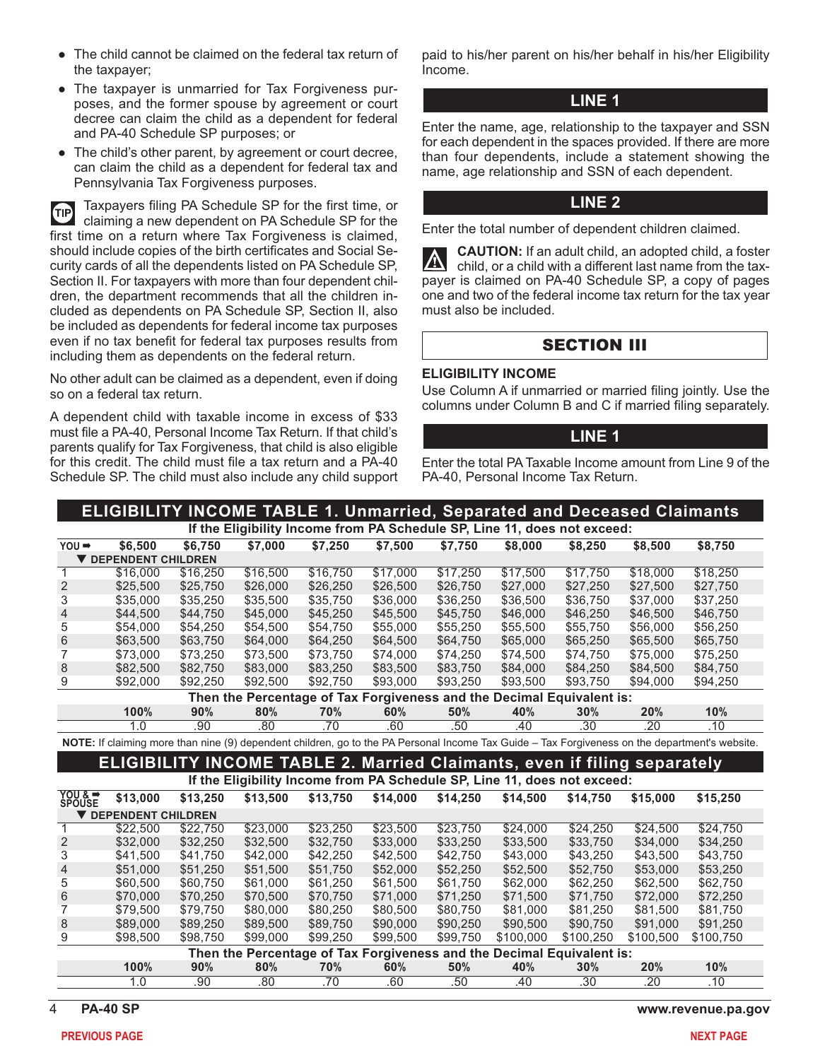- The taxpayer is unmarried for Tax Forgiveness purposes, and the former spouse by agreement or court decree can claim the child as a dependent for federal and PA-40 Schedule SP purposes; or
- The child's other parent, by agreement or court decree, can claim the child as a dependent for federal tax and Pennsylvania Tax Forgiveness purposes.

Taxpayers filing PA Schedule SP for the first time, or **d** claiming a new dependent on PA Schedule SP for the first time on a return where Tax Forgiveness is claimed, should include copies of the birth certificates and Social Security cards of all the dependents listed on PA Schedule SP, Section II. For taxpayers with more than four dependent children, the department recommends that all the children included as dependents on PA Schedule SP, Section II, also be included as dependents for federal income tax purposes even if no tax benefit for federal tax purposes results from including them as dependents on the federal return.

No other adult can be claimed as a dependent, even if doing so on a federal tax return.

A dependent child with taxable income in excess of \$33 must file a PA-40, Personal Income Tax Return. If that child's parents qualify for Tax Forgiveness, that child is also eligible for this credit. The child must file a tax return and a PA-40 Schedule SP. The child must also include any child support

paid to his/her parent on his/her behalf in his/her Eligibility Income.

#### **LINE 1**

Enter the name, age, relationship to the taxpayer and SSN for each dependent in the spaces provided. If there are more than four dependents, include a statement showing the name, age relationship and SSN of each dependent.

### **LINE 2**

Enter the total number of dependent children claimed.

**CAUTION:** If an adult child, an adopted child, a foster  $|\nabla$ child, or a child with a different last name from the taxpayer is claimed on PA-40 Schedule SP, a copy of pages one and two of the federal income tax return for the tax year must also be included.

### SECTION III

#### **ELIGIBILITY INCOME**

Use Column A if unmarried or married filing jointly. Use the columns under Column B and C if married filing separately.

#### **LINE 1**

Enter the total PA Taxable Income amount from Line 9 of the PA-40, Personal Income Tax Return.

| <b>ELIGIBILITY INCOME TABLE 1. Unmarried, Separated and Deceased Claimants</b> |                                                                                 |          |          |          |          |          |                                                                          |                  |           |                                                                                                                                                |  |  |  |  |
|--------------------------------------------------------------------------------|---------------------------------------------------------------------------------|----------|----------|----------|----------|----------|--------------------------------------------------------------------------|------------------|-----------|------------------------------------------------------------------------------------------------------------------------------------------------|--|--|--|--|
|                                                                                | If the Eligibility Income from PA Schedule SP, Line 11, does not exceed:        |          |          |          |          |          |                                                                          |                  |           |                                                                                                                                                |  |  |  |  |
| $YOU \rightarrow$                                                              | \$6,500                                                                         | \$6,750  | \$7,000  | \$7,250  | \$7,500  | \$7,750  | \$8,000                                                                  | \$8.250          | \$8,500   | \$8,750                                                                                                                                        |  |  |  |  |
| <b>V DEPENDENT CHILDREN</b>                                                    |                                                                                 |          |          |          |          |          |                                                                          |                  |           |                                                                                                                                                |  |  |  |  |
| 1                                                                              | \$16,000                                                                        | \$16,250 | \$16,500 | \$16,750 | \$17,000 | \$17,250 | \$17,500                                                                 | \$17,750         | \$18,000  | \$18,250                                                                                                                                       |  |  |  |  |
| $\sqrt{2}$                                                                     | \$25,500                                                                        | \$25,750 | \$26,000 | \$26,250 | \$26,500 | \$26,750 | \$27,000                                                                 | \$27,250         | \$27,500  | \$27,750                                                                                                                                       |  |  |  |  |
| 3                                                                              | \$35,000                                                                        | \$35,250 | \$35,500 | \$35,750 | \$36,000 | \$36,250 | \$36,500                                                                 | \$36.750         | \$37,000  | \$37,250                                                                                                                                       |  |  |  |  |
| $\overline{4}$                                                                 | \$44,500                                                                        | \$44,750 | \$45,000 | \$45,250 | \$45,500 | \$45,750 | \$46,000                                                                 | \$46,250         | \$46,500  | \$46,750                                                                                                                                       |  |  |  |  |
| 5                                                                              | \$54,000                                                                        | \$54,250 | \$54,500 | \$54,750 | \$55,000 | \$55,250 | \$55,500                                                                 | \$55,750         | \$56,000  | \$56,250                                                                                                                                       |  |  |  |  |
| $\,6$                                                                          | \$63,500                                                                        | \$63,750 | \$64,000 | \$64,250 | \$64,500 | \$64,750 | \$65,000                                                                 | \$65,250         | \$65,500  | \$65,750                                                                                                                                       |  |  |  |  |
| 7                                                                              | \$73,000                                                                        | \$73,250 | \$73,500 | \$73,750 | \$74,000 | \$74,250 | \$74,500                                                                 | \$74,750         | \$75,000  | \$75.250                                                                                                                                       |  |  |  |  |
| 8                                                                              | \$82,500                                                                        | \$82,750 | \$83,000 | \$83,250 | \$83,500 | \$83,750 | \$84,000                                                                 | \$84,250         | \$84,500  | \$84,750                                                                                                                                       |  |  |  |  |
| 9                                                                              | \$92,000                                                                        | \$92,250 | \$92,500 | \$92,750 | \$93,000 | \$93,250 | \$93,500                                                                 | \$93,750         | \$94,000  | \$94,250                                                                                                                                       |  |  |  |  |
|                                                                                |                                                                                 |          |          |          |          |          | Then the Percentage of Tax Forgiveness and the Decimal Equivalent is:    |                  |           |                                                                                                                                                |  |  |  |  |
|                                                                                | 100%                                                                            | 90%      | 80%      | 70%      | 60%      | 50%      | 40%                                                                      | 30%              | 20%       | 10%                                                                                                                                            |  |  |  |  |
|                                                                                | 1.0                                                                             | .90      | .80      | .70      | .60      | .50      | .40                                                                      | .30              | .20       | .10                                                                                                                                            |  |  |  |  |
|                                                                                |                                                                                 |          |          |          |          |          |                                                                          |                  |           | NOTE: If claiming more than nine (9) dependent children, go to the PA Personal Income Tax Guide - Tax Forgiveness on the department's website. |  |  |  |  |
|                                                                                | <b>ELIGIBILITY INCOME TABLE 2. Married Claimants, even if filing separately</b> |          |          |          |          |          |                                                                          |                  |           |                                                                                                                                                |  |  |  |  |
|                                                                                |                                                                                 |          |          |          |          |          | If the Eligibility Income from PA Schedule SP, Line 11, does not exceed: |                  |           |                                                                                                                                                |  |  |  |  |
| YOU & =                                                                        | \$13,000                                                                        | \$13,250 | \$13,500 | \$13,750 | \$14,000 | \$14.250 | \$14.500                                                                 | \$14.750         | \$15,000  | \$15,250                                                                                                                                       |  |  |  |  |
|                                                                                | <b>V DEPENDENT CHILDREN</b>                                                     |          |          |          |          |          |                                                                          |                  |           |                                                                                                                                                |  |  |  |  |
| 1                                                                              | \$22,500                                                                        | \$22,750 | \$23,000 | \$23,250 | \$23,500 | \$23,750 | \$24,000                                                                 | \$24,250         | \$24,500  | \$24,750                                                                                                                                       |  |  |  |  |
| $\overline{2}$                                                                 | \$32,000                                                                        | \$32,250 | \$32,500 | \$32,750 | \$33,000 | \$33,250 | \$33,500                                                                 | \$33,750         | \$34,000  | \$34.250                                                                                                                                       |  |  |  |  |
| 3                                                                              | \$41,500                                                                        | \$41,750 | \$42,000 | \$42,250 | \$42,500 | \$42,750 | \$43,000                                                                 | \$43,250         | \$43,500  | \$43,750                                                                                                                                       |  |  |  |  |
| $\overline{4}$                                                                 | \$51,000                                                                        | \$51.250 | \$51.500 | \$51.750 | \$52,000 | \$52,250 | \$52,500                                                                 | \$52,750         | \$53,000  | \$53.250                                                                                                                                       |  |  |  |  |
| 5                                                                              | \$60,500                                                                        | \$60,750 | \$61,000 | \$61,250 | \$61.500 | \$61,750 | \$62,000                                                                 | \$62,250         | \$62,500  | \$62.750                                                                                                                                       |  |  |  |  |
| $6\phantom{1}6$                                                                | \$70,000                                                                        | \$70,250 | \$70,500 | \$70,750 | \$71,000 | \$71,250 | \$71,500                                                                 | \$71,750         | \$72,000  | \$72,250                                                                                                                                       |  |  |  |  |
| 7                                                                              | \$79,500                                                                        | \$79,750 | \$80,000 | \$80,250 | \$80,500 | \$80.750 | \$81,000                                                                 | \$81.250         | \$81.500  | \$81.750                                                                                                                                       |  |  |  |  |
| 8                                                                              | \$89,000                                                                        | \$89,250 | \$89,500 | \$89,750 | \$90,000 | \$90,250 | \$90,500                                                                 | \$90,750         | \$91,000  | \$91,250                                                                                                                                       |  |  |  |  |
| 9                                                                              | \$98,500                                                                        | \$98,750 | \$99,000 | \$99,250 | \$99,500 | \$99,750 | \$100,000                                                                | \$100,250        | \$100,500 | \$100,750                                                                                                                                      |  |  |  |  |
|                                                                                |                                                                                 |          |          |          |          |          | Then the Percentage of Tax Forgiveness and the Decimal Equivalent is:    |                  |           |                                                                                                                                                |  |  |  |  |
|                                                                                | 100%                                                                            | 90%      | 80%      | 70%      | 60%      | 50%      | 40%                                                                      | 30%              | 20%       | 10%                                                                                                                                            |  |  |  |  |
|                                                                                | 1.0                                                                             | .90      | .80      | .70      | .60      | .50      | .40                                                                      | $\overline{.30}$ | .20       | .10                                                                                                                                            |  |  |  |  |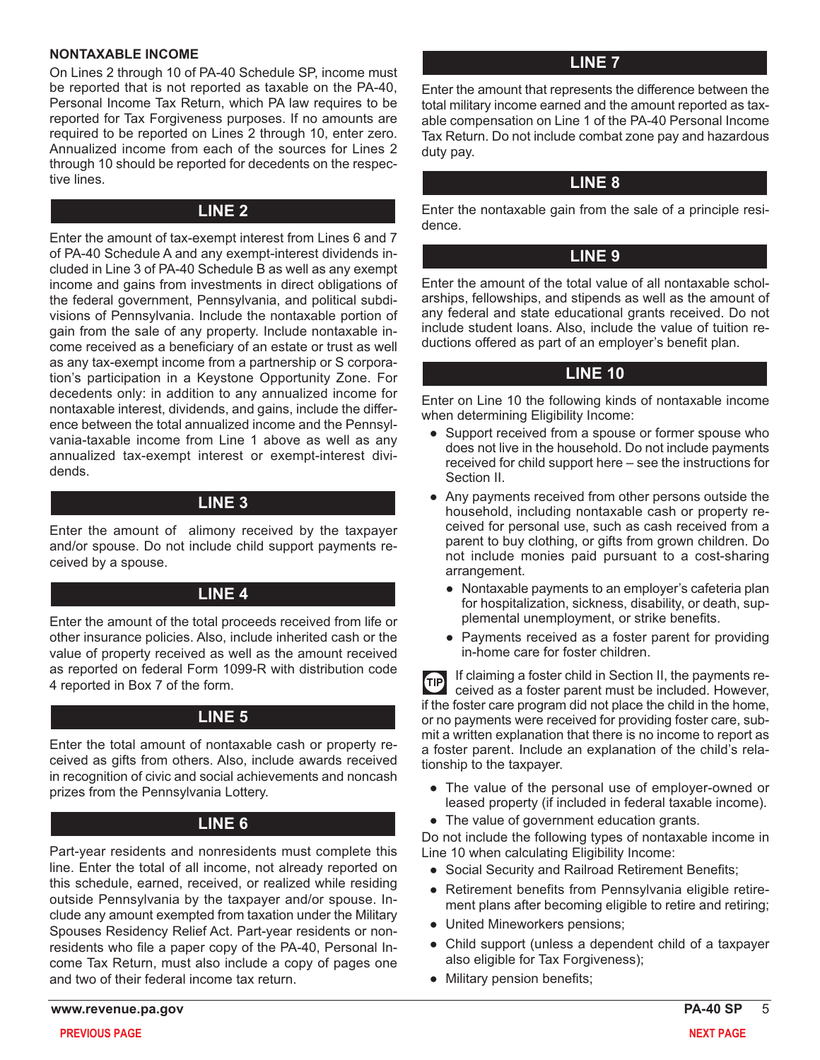#### **NONTAXABLE INCOME**

On Lines 2 through 10 of PA-40 Schedule SP, income must be reported that is not reported as taxable on the PA-40, Personal Income Tax Return, which PA law requires to be reported for Tax Forgiveness purposes. If no amounts are required to be reported on Lines 2 through 10, enter zero. Annualized income from each of the sources for Lines 2 through 10 should be reported for decedents on the respective lines.

### **LINE 2**

Enter the amount of tax-exempt interest from Lines 6 and 7 of PA-40 Schedule A and any exempt-interest dividends included in Line 3 of PA-40 Schedule B as well as any exempt income and gains from investments in direct obligations of the federal government, Pennsylvania, and political subdivisions of Pennsylvania. Include the nontaxable portion of gain from the sale of any property. Include nontaxable income received as a beneficiary of an estate or trust as well as any tax-exempt income from a partnership or S corporation's participation in a Keystone Opportunity Zone. For decedents only: in addition to any annualized income for nontaxable interest, dividends, and gains, include the difference between the total annualized income and the Pennsylvania-taxable income from Line 1 above as well as any annualized tax-exempt interest or exempt-interest dividends.

# **LINE 3**

Enter the amount of alimony received by the taxpayer and/or spouse. Do not include child support payments received by a spouse.

# **LINE 4**

Enter the amount of the total proceeds received from life or other insurance policies. Also, include inherited cash or the value of property received as well as the amount received as reported on federal Form 1099-R with distribution code 4 reported in Box 7 of the form.

# **LINE 5**

Enter the total amount of nontaxable cash or property received as gifts from others. Also, include awards received in recognition of civic and social achievements and noncash prizes from the Pennsylvania Lottery.

# **LINE 6**

Part-year residents and nonresidents must complete this line. Enter the total of all income, not already reported on this schedule, earned, received, or realized while residing outside Pennsylvania by the taxpayer and/or spouse. Include any amount exempted from taxation under the Military Spouses Residency Relief Act. Part-year residents or nonresidents who file a paper copy of the PA-40, Personal Income Tax Return, must also include a copy of pages one and two of their federal income tax return.

# **LINE 7**

Enter the amount that represents the difference between the total military income earned and the amount reported as taxable compensation on Line 1 of the PA-40 Personal Income Tax Return. Do not include combat zone pay and hazardous duty pay.

# **LINE 8**

Enter the nontaxable gain from the sale of a principle residence.

# **LINE 9**

Enter the amount of the total value of all nontaxable scholarships, fellowships, and stipends as well as the amount of any federal and state educational grants received. Do not include student loans. Also, include the value of tuition reductions offered as part of an employer's benefit plan.

# **LINE 10**

Enter on Line 10 the following kinds of nontaxable income when determining Eligibility Income:

- Support received from a spouse or former spouse who does not live in the household. Do not include payments received for child support here – see the instructions for Section II.
- Any payments received from other persons outside the household, including nontaxable cash or property received for personal use, such as cash received from a parent to buy clothing, or gifts from grown children. Do not include monies paid pursuant to a cost-sharing arrangement.
	- Nontaxable payments to an employer's cafeteria plan for hospitalization, sickness, disability, or death, supplemental unemployment, or strike benefits.
	- Payments received as a foster parent for providing in-home care for foster children.

If claiming a foster child in Section II, the payments re- $\bigoplus$ ceived as a foster parent must be included. However, if the foster care program did not place the child in the home, or no payments were received for providing foster care, submit a written explanation that there is no income to report as a foster parent. Include an explanation of the child's relationship to the taxpayer.

- The value of the personal use of employer-owned or leased property (if included in federal taxable income).
- The value of government education grants.

Do not include the following types of nontaxable income in Line 10 when calculating Eligibility Income:

- Social Security and Railroad Retirement Benefits;
- Retirement benefits from Pennsylvania eligible retirement plans after becoming eligible to retire and retiring;
- United Mineworkers pensions;
- Child support (unless a dependent child of a taxpayer also eligible for Tax Forgiveness);
- Military pension benefits;